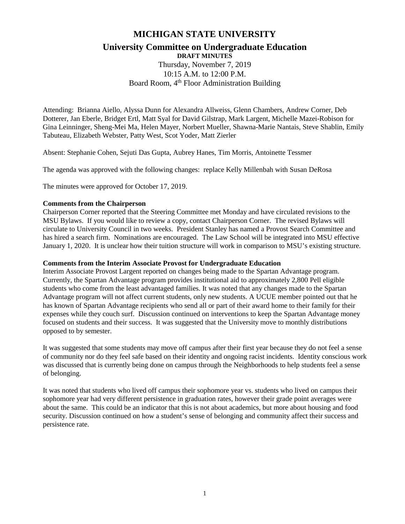# **MICHIGAN STATE UNIVERSITY**

## **University Committee on Undergraduate Education DRAFT MINUTES**

Thursday, November 7, 2019 10:15 A.M. to 12:00 P.M. Board Room, 4<sup>th</sup> Floor Administration Building

Attending: Brianna Aiello, Alyssa Dunn for Alexandra Allweiss, Glenn Chambers, Andrew Corner, Deb Dotterer, Jan Eberle, Bridget Ertl, Matt Syal for David Gilstrap, Mark Largent, Michelle Mazei-Robison for Gina Leinninger, Sheng-Mei Ma, Helen Mayer, Norbert Mueller, Shawna-Marie Nantais, Steve Shablin, Emily Tabuteau, Elizabeth Webster, Patty West, Scot Yoder, Matt Zierler

Absent: Stephanie Cohen, Sejuti Das Gupta, Aubrey Hanes, Tim Morris, Antoinette Tessmer

The agenda was approved with the following changes: replace Kelly Millenbah with Susan DeRosa

The minutes were approved for October 17, 2019.

#### **Comments from the Chairperson**

Chairperson Corner reported that the Steering Committee met Monday and have circulated revisions to the MSU Bylaws. If you would like to review a copy, contact Chairperson Corner. The revised Bylaws will circulate to University Council in two weeks. President Stanley has named a Provost Search Committee and has hired a search firm. Nominations are encouraged. The Law School will be integrated into MSU effective January 1, 2020. It is unclear how their tuition structure will work in comparison to MSU's existing structure.

#### **Comments from the Interim Associate Provost for Undergraduate Education**

Interim Associate Provost Largent reported on changes being made to the Spartan Advantage program. Currently, the Spartan Advantage program provides institutional aid to approximately 2,800 Pell eligible students who come from the least advantaged families. It was noted that any changes made to the Spartan Advantage program will not affect current students, only new students. A UCUE member pointed out that he has known of Spartan Advantage recipients who send all or part of their award home to their family for their expenses while they couch surf. Discussion continued on interventions to keep the Spartan Advantage money focused on students and their success. It was suggested that the University move to monthly distributions opposed to by semester.

It was suggested that some students may move off campus after their first year because they do not feel a sense of community nor do they feel safe based on their identity and ongoing racist incidents. Identity conscious work was discussed that is currently being done on campus through the Neighborhoods to help students feel a sense of belonging.

It was noted that students who lived off campus their sophomore year vs. students who lived on campus their sophomore year had very different persistence in graduation rates, however their grade point averages were about the same. This could be an indicator that this is not about academics, but more about housing and food security. Discussion continued on how a student's sense of belonging and community affect their success and persistence rate.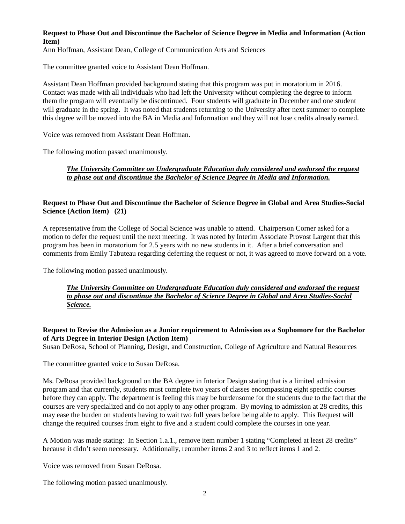#### **Request to Phase Out and Discontinue the Bachelor of Science Degree in Media and Information (Action Item)**

Ann Hoffman, Assistant Dean, College of Communication Arts and Sciences

The committee granted voice to Assistant Dean Hoffman.

Assistant Dean Hoffman provided background stating that this program was put in moratorium in 2016. Contact was made with all individuals who had left the University without completing the degree to inform them the program will eventually be discontinued. Four students will graduate in December and one student will graduate in the spring. It was noted that students returning to the University after next summer to complete this degree will be moved into the BA in Media and Information and they will not lose credits already earned.

Voice was removed from Assistant Dean Hoffman.

The following motion passed unanimously.

*The University Committee on Undergraduate Education duly considered and endorsed the request to phase out and discontinue the Bachelor of Science Degree in Media and Information.*

## **Request to Phase Out and Discontinue the Bachelor of Science Degree in Global and Area Studies-Social Science (Action Item) (21)**

A representative from the College of Social Science was unable to attend. Chairperson Corner asked for a motion to defer the request until the next meeting. It was noted by Interim Associate Provost Largent that this program has been in moratorium for 2.5 years with no new students in it. After a brief conversation and comments from Emily Tabuteau regarding deferring the request or not, it was agreed to move forward on a vote.

The following motion passed unanimously.

*The University Committee on Undergraduate Education duly considered and endorsed the request to phase out and discontinue the Bachelor of Science Degree in Global and Area Studies-Social Science.*

**Request to Revise the Admission as a Junior requirement to Admission as a Sophomore for the Bachelor of Arts Degree in Interior Design (Action Item)**

Susan DeRosa, School of Planning, Design, and Construction, College of Agriculture and Natural Resources

The committee granted voice to Susan DeRosa.

Ms. DeRosa provided background on the BA degree in Interior Design stating that is a limited admission program and that currently, students must complete two years of classes encompassing eight specific courses before they can apply. The department is feeling this may be burdensome for the students due to the fact that the courses are very specialized and do not apply to any other program. By moving to admission at 28 credits, this may ease the burden on students having to wait two full years before being able to apply. This Request will change the required courses from eight to five and a student could complete the courses in one year.

A Motion was made stating: In Section 1.a.1., remove item number 1 stating "Completed at least 28 credits" because it didn't seem necessary. Additionally, renumber items 2 and 3 to reflect items 1 and 2.

Voice was removed from Susan DeRosa.

The following motion passed unanimously.